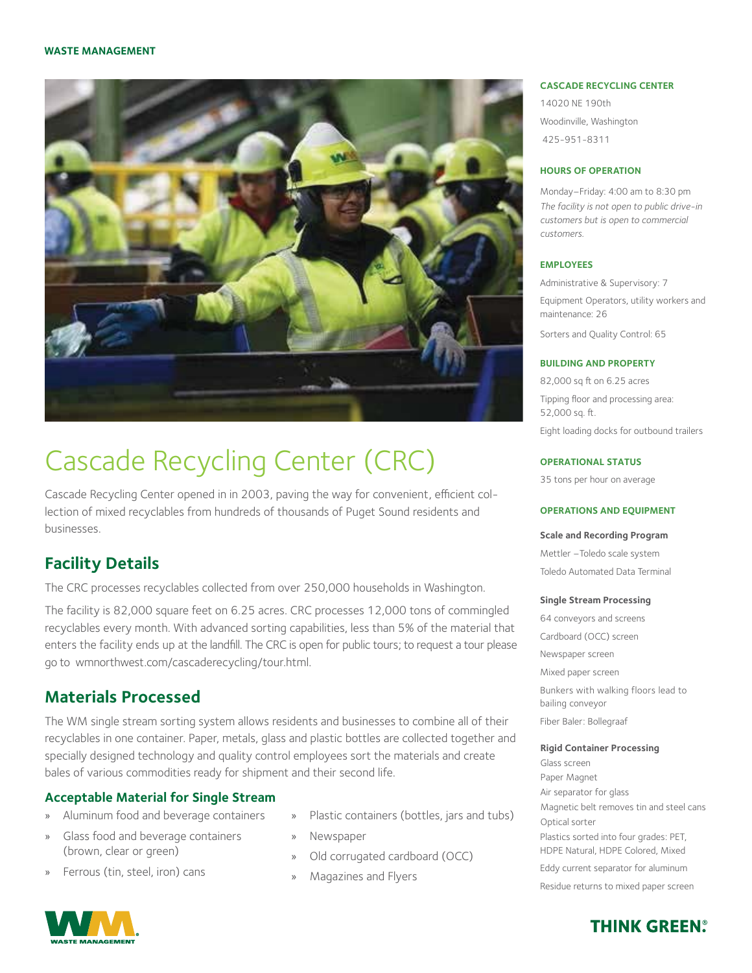

# Cascade Recycling Center (CRC)

Cascade Recycling Center opened in in 2003, paving the way for convenient, efficient collection of mixed recyclables from hundreds of thousands of Puget Sound residents and businesses.

# **Facility Details**

The CRC processes recyclables collected from over 250,000 households in Washington.

The facility is 82,000 square feet on 6.25 acres. CRC processes 12,000 tons of commingled recyclables every month. With advanced sorting capabilities, less than 5% of the material that enters the facility ends up at the landfill. The CRC is open for public tours; to request a tour please go to wmnorthwest.com/cascaderecycling/tour.html.

### **Materials Processed**

The WM single stream sorting system allows residents and businesses to combine all of their recyclables in one container. Paper, metals, glass and plastic bottles are collected together and specially designed technology and quality control employees sort the materials and create bales of various commodities ready for shipment and their second life.

#### **Acceptable Material for Single Stream**

- » Aluminum food and beverage containers
- » Glass food and beverage containers (brown, clear or green)
- » Ferrous (tin, steel, iron) cans
- Plastic containers (bottles, jars and tubs)
- » Newspaper
- Old corrugated cardboard (OCC)
- » Magazines and Flyers

#### **CASCADE RECYCLING CENTER**

14020 NE 190th Woodinville, Washington 425-951-8311

#### **HOURS OF OPERATION**

Monday–Friday: 4:00 am to 8:30 pm *The facility is not open to public drive-in customers but is open to commercial customers.*

#### **EMPLOYEES**

Administrative & Supervisory: 7 Equipment Operators, utility workers and maintenance: 26 Sorters and Quality Control: 65

#### **BUILDING AND PROPERTY**

82,000 sq ft on 6.25 acres Tipping floor and processing area: 52,000 sq. ft. Eight loading docks for outbound trailers

#### **OPERATIONAL STATUS**

35 tons per hour on average

#### **OPERATIONS AND EQUIPMENT**

#### **Scale and Recording Program**

Mettler –Toledo scale system Toledo Automated Data Terminal

#### **Single Stream Processing**

64 conveyors and screens Cardboard (OCC) screen Newspaper screen Mixed paper screen Bunkers with walking floors lead to bailing conveyor Fiber Baler: Bollegraaf

#### **Rigid Container Processing**

Glass screen Paper Magnet Air separator for glass Magnetic belt removes tin and steel cans Optical sorter Plastics sorted into four grades: PET, HDPE Natural, HDPE Colored, Mixed Eddy current separator for aluminum Residue returns to mixed paper screen